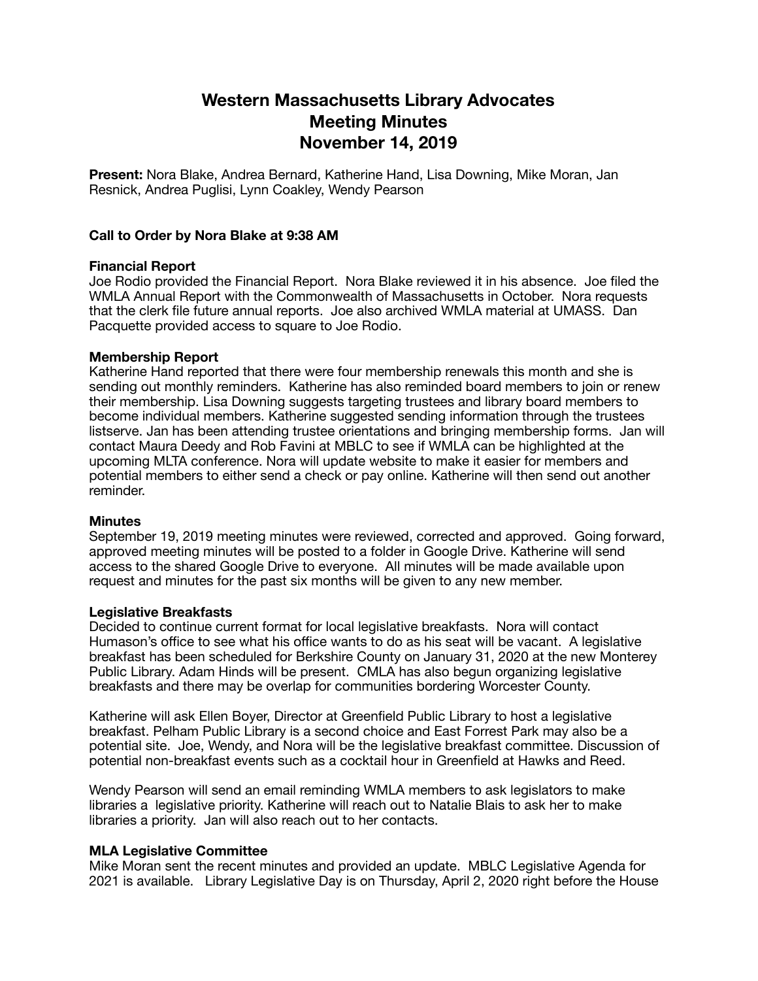# **Western Massachusetts Library Advocates Meeting Minutes November 14, 2019**

**Present:** Nora Blake, Andrea Bernard, Katherine Hand, Lisa Downing, Mike Moran, Jan Resnick, Andrea Puglisi, Lynn Coakley, Wendy Pearson

# **Call to Order by Nora Blake at 9:38 AM**

## **Financial Report**

Joe Rodio provided the Financial Report. Nora Blake reviewed it in his absence. Joe filed the WMLA Annual Report with the Commonwealth of Massachusetts in October. Nora requests that the clerk file future annual reports. Joe also archived WMLA material at UMASS. Dan Pacquette provided access to square to Joe Rodio.

## **Membership Report**

Katherine Hand reported that there were four membership renewals this month and she is sending out monthly reminders. Katherine has also reminded board members to join or renew their membership. Lisa Downing suggests targeting trustees and library board members to become individual members. Katherine suggested sending information through the trustees listserve. Jan has been attending trustee orientations and bringing membership forms. Jan will contact Maura Deedy and Rob Favini at MBLC to see if WMLA can be highlighted at the upcoming MLTA conference. Nora will update website to make it easier for members and potential members to either send a check or pay online. Katherine will then send out another reminder.

#### **Minutes**

September 19, 2019 meeting minutes were reviewed, corrected and approved. Going forward, approved meeting minutes will be posted to a folder in Google Drive. Katherine will send access to the shared Google Drive to everyone. All minutes will be made available upon request and minutes for the past six months will be given to any new member.

#### **Legislative Breakfasts**

Decided to continue current format for local legislative breakfasts. Nora will contact Humason's office to see what his office wants to do as his seat will be vacant. A legislative breakfast has been scheduled for Berkshire County on January 31, 2020 at the new Monterey Public Library. Adam Hinds will be present. CMLA has also begun organizing legislative breakfasts and there may be overlap for communities bordering Worcester County.

Katherine will ask Ellen Boyer, Director at Greenfield Public Library to host a legislative breakfast. Pelham Public Library is a second choice and East Forrest Park may also be a potential site. Joe, Wendy, and Nora will be the legislative breakfast committee. Discussion of potential non-breakfast events such as a cocktail hour in Greenfield at Hawks and Reed.

Wendy Pearson will send an email reminding WMLA members to ask legislators to make libraries a legislative priority. Katherine will reach out to Natalie Blais to ask her to make libraries a priority. Jan will also reach out to her contacts.

# **MLA Legislative Committee**

Mike Moran sent the recent minutes and provided an update. MBLC Legislative Agenda for 2021 is available. Library Legislative Day is on Thursday, April 2, 2020 right before the House